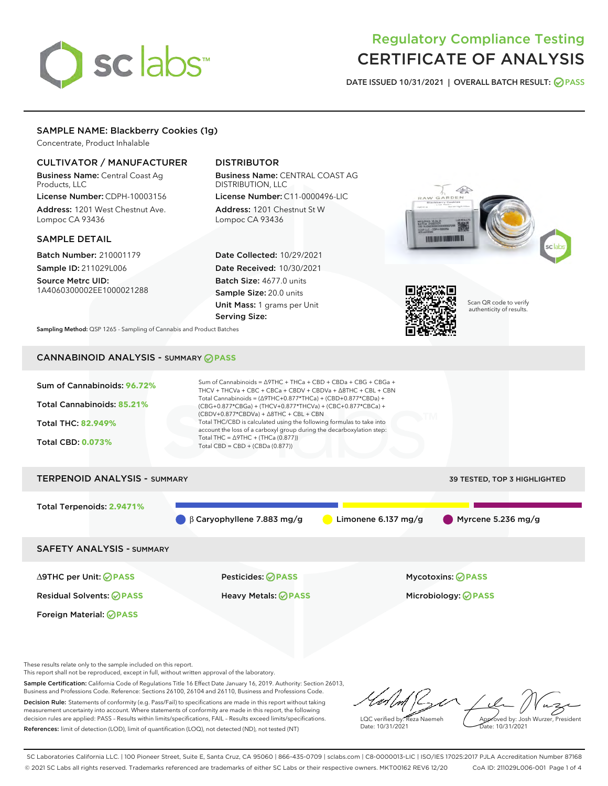# sclabs<sup>\*</sup>

# Regulatory Compliance Testing CERTIFICATE OF ANALYSIS

DATE ISSUED 10/31/2021 | OVERALL BATCH RESULT: @ PASS

#### SAMPLE NAME: Blackberry Cookies (1g)

Concentrate, Product Inhalable

#### CULTIVATOR / MANUFACTURER

Business Name: Central Coast Ag Products, LLC

License Number: CDPH-10003156 Address: 1201 West Chestnut Ave. Lompoc CA 93436

#### SAMPLE DETAIL

Batch Number: 210001179 Sample ID: 211029L006

Source Metrc UID: 1A4060300002EE1000021288

### DISTRIBUTOR

Business Name: CENTRAL COAST AG DISTRIBUTION, LLC License Number: C11-0000496-LIC

Address: 1201 Chestnut St W Lompoc CA 93436

Date Collected: 10/29/2021 Date Received: 10/30/2021 Batch Size: 4677.0 units Sample Size: 20.0 units Unit Mass: 1 grams per Unit Serving Size:





Scan QR code to verify authenticity of results.

Sampling Method: QSP 1265 - Sampling of Cannabis and Product Batches

# CANNABINOID ANALYSIS - SUMMARY **PASS**

| Sum of Cannabinoids: 96.72%<br>Total Cannabinoids: 85.21%<br><b>Total THC: 82,949%</b><br><b>Total CBD: 0.073%</b> | Sum of Cannabinoids = $\triangle$ 9THC + THCa + CBD + CBDa + CBG + CBGa +<br>THCV + THCVa + CBC + CBCa + CBDV + CBDVa + $\Delta$ 8THC + CBL + CBN<br>Total Cannabinoids = $(\Delta$ 9THC+0.877*THCa) + (CBD+0.877*CBDa) +<br>(CBG+0.877*CBGa) + (THCV+0.877*THCVa) + (CBC+0.877*CBCa) +<br>$(CBDV+0.877*CBDVa) + \Delta 8THC + CBL + CBN$<br>Total THC/CBD is calculated using the following formulas to take into<br>account the loss of a carboxyl group during the decarboxylation step:<br>Total THC = $\triangle$ 9THC + (THCa (0.877))<br>Total CBD = CBD + (CBDa (0.877)) |                     |                                   |
|--------------------------------------------------------------------------------------------------------------------|----------------------------------------------------------------------------------------------------------------------------------------------------------------------------------------------------------------------------------------------------------------------------------------------------------------------------------------------------------------------------------------------------------------------------------------------------------------------------------------------------------------------------------------------------------------------------------|---------------------|-----------------------------------|
| <b>TERPENOID ANALYSIS - SUMMARY</b>                                                                                |                                                                                                                                                                                                                                                                                                                                                                                                                                                                                                                                                                                  |                     | 39 TESTED, TOP 3 HIGHLIGHTED      |
| Total Terpenoids: 2.9471%                                                                                          | $\beta$ Caryophyllene 7.883 mg/g                                                                                                                                                                                                                                                                                                                                                                                                                                                                                                                                                 | Limonene 6.137 mg/g | $\blacksquare$ Myrcene 5.236 mg/g |
| <b>SAFETY ANALYSIS - SUMMARY</b>                                                                                   |                                                                                                                                                                                                                                                                                                                                                                                                                                                                                                                                                                                  |                     |                                   |

Foreign Material: **PASS**

Residual Solvents: **PASS** Heavy Metals: **PASS** Microbiology: **PASS**

∆9THC per Unit: **PASS** Pesticides: **PASS** Mycotoxins: **PASS**

These results relate only to the sample included on this report.

This report shall not be reproduced, except in full, without written approval of the laboratory.

Sample Certification: California Code of Regulations Title 16 Effect Date January 16, 2019. Authority: Section 26013, Business and Professions Code. Reference: Sections 26100, 26104 and 26110, Business and Professions Code. Decision Rule: Statements of conformity (e.g. Pass/Fail) to specifications are made in this report without taking measurement uncertainty into account. Where statements of conformity are made in this report, the following decision rules are applied: PASS – Results within limits/specifications, FAIL – Results exceed limits/specifications.

References: limit of detection (LOD), limit of quantification (LOQ), not detected (ND), not tested (NT)

LQC verified by: Reza Naemeh Date: 10/31/2021 Approved by: Josh Wurzer, President Date: 10/31/2021

SC Laboratories California LLC. | 100 Pioneer Street, Suite E, Santa Cruz, CA 95060 | 866-435-0709 | sclabs.com | C8-0000013-LIC | ISO/IES 17025:2017 PJLA Accreditation Number 87168 © 2021 SC Labs all rights reserved. Trademarks referenced are trademarks of either SC Labs or their respective owners. MKT00162 REV6 12/20 CoA ID: 211029L006-001 Page 1 of 4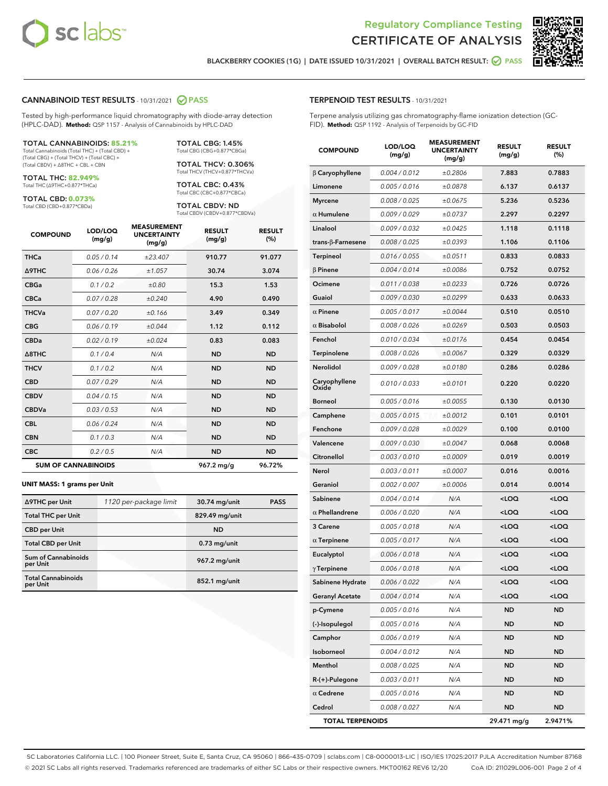



BLACKBERRY COOKIES (1G) | DATE ISSUED 10/31/2021 | OVERALL BATCH RESULT: @ PASS

#### CANNABINOID TEST RESULTS - 10/31/2021 2 PASS

Tested by high-performance liquid chromatography with diode-array detection (HPLC-DAD). **Method:** QSP 1157 - Analysis of Cannabinoids by HPLC-DAD

#### TOTAL CANNABINOIDS: **85.21%**

Total Cannabinoids (Total THC) + (Total CBD) + (Total CBG) + (Total THCV) + (Total CBC) + (Total CBDV) + ∆8THC + CBL + CBN

TOTAL THC: **82.949%** Total THC (∆9THC+0.877\*THCa)

TOTAL CBD: **0.073%**

Total CBD (CBD+0.877\*CBDa)

TOTAL CBG: 1.45% Total CBG (CBG+0.877\*CBGa)

TOTAL THCV: 0.306% Total THCV (THCV+0.877\*THCVa)

TOTAL CBC: 0.43% Total CBC (CBC+0.877\*CBCa)

TOTAL CBDV: ND Total CBDV (CBDV+0.877\*CBDVa)

| <b>COMPOUND</b>  | LOD/LOQ<br>(mg/g)          | <b>MEASUREMENT</b><br><b>UNCERTAINTY</b><br>(mg/g) | <b>RESULT</b><br>(mg/g) | <b>RESULT</b><br>(%) |
|------------------|----------------------------|----------------------------------------------------|-------------------------|----------------------|
| <b>THCa</b>      | 0.05/0.14                  | ±23.407                                            | 910.77                  | 91.077               |
| <b>A9THC</b>     | 0.06 / 0.26                | ±1.057                                             | 30.74                   | 3.074                |
| <b>CBGa</b>      | 0.1/0.2                    | ±0.80                                              | 15.3                    | 1.53                 |
| <b>CBCa</b>      | 0.07 / 0.28                | ±0.240                                             | 4.90                    | 0.490                |
| <b>THCVa</b>     | 0.07/0.20                  | ±0.166                                             | 3.49                    | 0.349                |
| <b>CBG</b>       | 0.06/0.19                  | ±0.044                                             | 1.12                    | 0.112                |
| <b>CBDa</b>      | 0.02/0.19                  | ±0.024                                             | 0.83                    | 0.083                |
| $\triangle$ 8THC | 0.1/0.4                    | N/A                                                | <b>ND</b>               | <b>ND</b>            |
| <b>THCV</b>      | 0.1 / 0.2                  | N/A                                                | <b>ND</b>               | <b>ND</b>            |
| <b>CBD</b>       | 0.07/0.29                  | N/A                                                | <b>ND</b>               | <b>ND</b>            |
| <b>CBDV</b>      | 0.04 / 0.15                | N/A                                                | <b>ND</b>               | <b>ND</b>            |
| <b>CBDVa</b>     | 0.03 / 0.53                | N/A                                                | <b>ND</b>               | <b>ND</b>            |
| <b>CBL</b>       | 0.06 / 0.24                | N/A                                                | <b>ND</b>               | <b>ND</b>            |
| <b>CBN</b>       | 0.1/0.3                    | N/A                                                | <b>ND</b>               | <b>ND</b>            |
| <b>CBC</b>       | 0.2 / 0.5                  | N/A                                                | <b>ND</b>               | <b>ND</b>            |
|                  | <b>SUM OF CANNABINOIDS</b> |                                                    | 967.2 mg/g              | 96.72%               |

#### **UNIT MASS: 1 grams per Unit**

| ∆9THC per Unit                        | 1120 per-package limit | 30.74 mg/unit   | <b>PASS</b> |
|---------------------------------------|------------------------|-----------------|-------------|
| <b>Total THC per Unit</b>             |                        | 829.49 mg/unit  |             |
| <b>CBD</b> per Unit                   |                        | <b>ND</b>       |             |
| <b>Total CBD per Unit</b>             |                        | $0.73$ mg/unit  |             |
| Sum of Cannabinoids<br>per Unit       |                        | 967.2 mg/unit   |             |
| <b>Total Cannabinoids</b><br>per Unit |                        | $852.1$ mg/unit |             |

#### TERPENOID TEST RESULTS - 10/31/2021

Terpene analysis utilizing gas chromatography-flame ionization detection (GC-FID). **Method:** QSP 1192 - Analysis of Terpenoids by GC-FID

| <b>COMPOUND</b>           | LOD/LOQ<br>(mg/g) | <b>MEASUREMENT</b><br><b>UNCERTAINTY</b><br>(mg/g) | <b>RESULT</b><br>(mg/g)                         | <b>RESULT</b><br>$(\%)$ |
|---------------------------|-------------------|----------------------------------------------------|-------------------------------------------------|-------------------------|
| $\beta$ Caryophyllene     | 0.004 / 0.012     | ±0.2806                                            | 7.883                                           | 0.7883                  |
| Limonene                  | 0.005 / 0.016     | ±0.0878                                            | 6.137                                           | 0.6137                  |
| <b>Myrcene</b>            | 0.008 / 0.025     | ±0.0675                                            | 5.236                                           | 0.5236                  |
| $\alpha$ Humulene         | 0.009/0.029       | ±0.0737                                            | 2.297                                           | 0.2297                  |
| Linalool                  | 0.009 / 0.032     | ±0.0425                                            | 1.118                                           | 0.1118                  |
| trans- $\beta$ -Farnesene | 0.008 / 0.025     | ±0.0393                                            | 1.106                                           | 0.1106                  |
| <b>Terpineol</b>          | 0.016 / 0.055     | ±0.0511                                            | 0.833                                           | 0.0833                  |
| $\beta$ Pinene            | 0.004 / 0.014     | ±0.0086                                            | 0.752                                           | 0.0752                  |
| Ocimene                   | 0.011 / 0.038     | ±0.0233                                            | 0.726                                           | 0.0726                  |
| Guaiol                    | 0.009 / 0.030     | ±0.0299                                            | 0.633                                           | 0.0633                  |
| $\alpha$ Pinene           | 0.005 / 0.017     | ±0.0044                                            | 0.510                                           | 0.0510                  |
| $\alpha$ Bisabolol        | 0.008 / 0.026     | ±0.0269                                            | 0.503                                           | 0.0503                  |
| Fenchol                   | 0.010 / 0.034     | ±0.0176                                            | 0.454                                           | 0.0454                  |
| <b>Terpinolene</b>        | 0.008 / 0.026     | ±0.0067                                            | 0.329                                           | 0.0329                  |
| Nerolidol                 | 0.009 / 0.028     | ±0.0180                                            | 0.286                                           | 0.0286                  |
| Caryophyllene<br>Oxide    | 0.010 / 0.033     | ±0.0101                                            | 0.220                                           | 0.0220                  |
| <b>Borneol</b>            | 0.005 / 0.016     | ±0.0055                                            | 0.130                                           | 0.0130                  |
| Camphene                  | 0.005 / 0.015     | ±0.0012                                            | 0.101                                           | 0.0101                  |
| Fenchone                  | 0.009 / 0.028     | ±0.0029                                            | 0.100                                           | 0.0100                  |
| Valencene                 | 0.009 / 0.030     | ±0.0047                                            | 0.068                                           | 0.0068                  |
| Citronellol               | 0.003 / 0.010     | ±0.0009                                            | 0.019                                           | 0.0019                  |
| Nerol                     | 0.003 / 0.011     | ±0.0007                                            | 0.016                                           | 0.0016                  |
| Geraniol                  | 0.002 / 0.007     | ±0.0006                                            | 0.014                                           | 0.0014                  |
| Sabinene                  | 0.004 / 0.014     | N/A                                                | <loq< th=""><th><loq< th=""></loq<></th></loq<> | <loq< th=""></loq<>     |
| $\alpha$ Phellandrene     | 0.006 / 0.020     | N/A                                                | <loq< th=""><th><loq< th=""></loq<></th></loq<> | <loq< th=""></loq<>     |
| 3 Carene                  | 0.005 / 0.018     | N/A                                                | <loq< th=""><th><loq< th=""></loq<></th></loq<> | <loq< th=""></loq<>     |
| $\alpha$ Terpinene        | 0.005 / 0.017     | N/A                                                | <loq< th=""><th><loq< th=""></loq<></th></loq<> | <loq< th=""></loq<>     |
| Eucalyptol                | 0.006 / 0.018     | N/A                                                | <loq< th=""><th><loq< th=""></loq<></th></loq<> | <loq< th=""></loq<>     |
| $\gamma$ Terpinene        | 0.006 / 0.018     | N/A                                                | <loq< th=""><th><loq< th=""></loq<></th></loq<> | <loq< th=""></loq<>     |
| Sabinene Hydrate          | 0.006 / 0.022     | N/A                                                | $<$ LOQ                                         | $<$ LOQ                 |
| <b>Geranyl Acetate</b>    | 0.004 / 0.014     | N/A                                                | <loq< th=""><th><loq< th=""></loq<></th></loq<> | <loq< th=""></loq<>     |
| p-Cymene                  | 0.005 / 0.016     | N/A                                                | ND                                              | ND                      |
| (-)-Isopulegol            | 0.005 / 0.016     | N/A                                                | <b>ND</b>                                       | <b>ND</b>               |
| Camphor                   | 0.006 / 0.019     | N/A                                                | ND                                              | ND                      |
| Isoborneol                | 0.004 / 0.012     | N/A                                                | ND                                              | ND                      |
| Menthol                   | 0.008 / 0.025     | N/A                                                | <b>ND</b>                                       | <b>ND</b>               |
| R-(+)-Pulegone            | 0.003 / 0.011     | N/A                                                | ND                                              | ND                      |
| $\alpha$ Cedrene          | 0.005 / 0.016     | N/A                                                | ND                                              | <b>ND</b>               |
| Cedrol                    | 0.008 / 0.027     | N/A                                                | <b>ND</b>                                       | <b>ND</b>               |
| <b>TOTAL TERPENOIDS</b>   |                   |                                                    | 29.471 mg/g                                     | 2.9471%                 |

SC Laboratories California LLC. | 100 Pioneer Street, Suite E, Santa Cruz, CA 95060 | 866-435-0709 | sclabs.com | C8-0000013-LIC | ISO/IES 17025:2017 PJLA Accreditation Number 87168 © 2021 SC Labs all rights reserved. Trademarks referenced are trademarks of either SC Labs or their respective owners. MKT00162 REV6 12/20 CoA ID: 211029L006-001 Page 2 of 4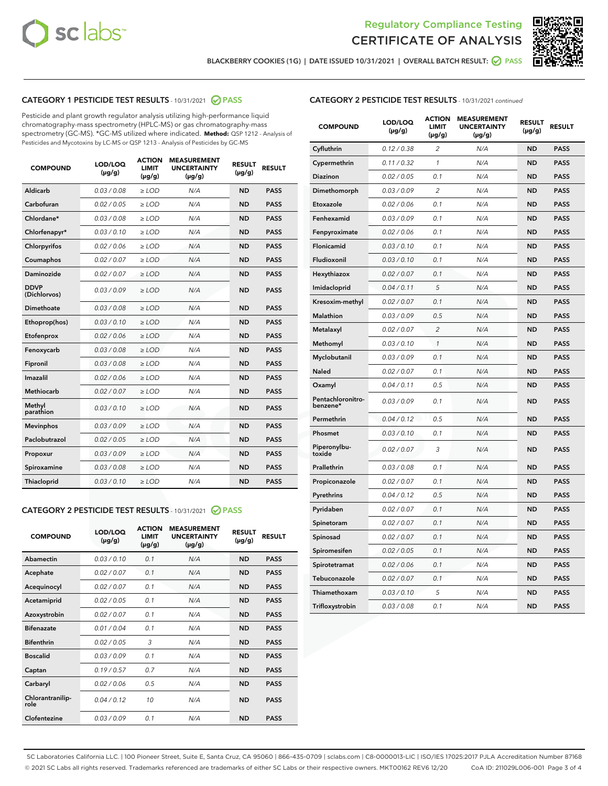



BLACKBERRY COOKIES (1G) | DATE ISSUED 10/31/2021 | OVERALL BATCH RESULT: ☑ PASS

# CATEGORY 1 PESTICIDE TEST RESULTS - 10/31/2021 2 PASS

Pesticide and plant growth regulator analysis utilizing high-performance liquid chromatography-mass spectrometry (HPLC-MS) or gas chromatography-mass spectrometry (GC-MS). \*GC-MS utilized where indicated. **Method:** QSP 1212 - Analysis of Pesticides and Mycotoxins by LC-MS or QSP 1213 - Analysis of Pesticides by GC-MS

| Aldicarb<br>0.03 / 0.08<br>$\ge$ LOD<br>N/A<br><b>ND</b><br><b>PASS</b><br>Carbofuran<br>0.02 / 0.05<br><b>ND</b><br><b>PASS</b><br>$\ge$ LOD<br>N/A<br>Chlordane*<br>0.03 / 0.08<br>$\ge$ LOD<br>N/A<br><b>ND</b><br><b>PASS</b><br>Chlorfenapyr*<br>0.03/0.10<br>N/A<br><b>ND</b><br><b>PASS</b><br>$\ge$ LOD<br>N/A<br><b>ND</b><br><b>PASS</b><br>Chlorpyrifos<br>0.02 / 0.06<br>$\ge$ LOD<br>0.02 / 0.07<br>Coumaphos<br>$>$ LOD<br>N/A<br><b>ND</b><br><b>PASS</b><br>Daminozide<br>0.02/0.07<br>N/A<br><b>ND</b><br>$>$ LOD<br><b>PASS</b><br><b>DDVP</b><br>0.03/0.09<br>$\ge$ LOD<br>N/A<br><b>ND</b><br><b>PASS</b><br>(Dichlorvos)<br>Dimethoate<br>0.03/0.08<br>$\ge$ LOD<br>N/A<br><b>ND</b><br><b>PASS</b><br>0.03/0.10<br><b>ND</b><br><b>PASS</b><br>$\ge$ LOD<br>N/A<br>Ethoprop(hos)<br>0.02 / 0.06<br>$\ge$ LOD<br>N/A<br><b>ND</b><br><b>PASS</b><br>Etofenprox<br>0.03/0.08<br>$\ge$ LOD<br>N/A<br><b>ND</b><br><b>PASS</b><br>Fenoxycarb<br>0.03/0.08<br>Fipronil<br>$\ge$ LOD<br>N/A<br><b>ND</b><br><b>PASS</b><br>Imazalil<br>0.02 / 0.06<br>$\ge$ LOD<br>N/A<br><b>ND</b><br><b>PASS</b><br>Methiocarb<br>0.02 / 0.07<br>N/A<br><b>ND</b><br>$>$ LOD<br><b>PASS</b><br>Methyl<br>N/A<br><b>ND</b><br>0.03/0.10<br>$\ge$ LOD<br><b>PASS</b><br>parathion<br>0.03/0.09<br>N/A<br><b>ND</b><br><b>PASS</b><br><b>Mevinphos</b><br>$\ge$ LOD<br>Paclobutrazol<br>0.02 / 0.05<br><b>ND</b><br><b>PASS</b><br>$\ge$ LOD<br>N/A<br>0.03/0.09<br>$\ge$ LOD<br>N/A<br><b>ND</b><br><b>PASS</b><br>Propoxur<br>0.03/0.08<br>$\ge$ LOD<br>N/A<br><b>ND</b><br><b>PASS</b><br>Spiroxamine<br>0.03/0.10<br>Thiacloprid<br>$\ge$ LOD<br>N/A<br><b>ND</b><br><b>PASS</b> | <b>COMPOUND</b> | LOD/LOQ<br>$(\mu g/g)$ | <b>ACTION</b><br><b>LIMIT</b><br>$(\mu g/g)$ | <b>MEASUREMENT</b><br><b>UNCERTAINTY</b><br>$(\mu g/g)$ | <b>RESULT</b><br>$(\mu g/g)$ | <b>RESULT</b> |
|-------------------------------------------------------------------------------------------------------------------------------------------------------------------------------------------------------------------------------------------------------------------------------------------------------------------------------------------------------------------------------------------------------------------------------------------------------------------------------------------------------------------------------------------------------------------------------------------------------------------------------------------------------------------------------------------------------------------------------------------------------------------------------------------------------------------------------------------------------------------------------------------------------------------------------------------------------------------------------------------------------------------------------------------------------------------------------------------------------------------------------------------------------------------------------------------------------------------------------------------------------------------------------------------------------------------------------------------------------------------------------------------------------------------------------------------------------------------------------------------------------------------------------------------------------------------------------------------------------------------------------------------------------------------------------------|-----------------|------------------------|----------------------------------------------|---------------------------------------------------------|------------------------------|---------------|
|                                                                                                                                                                                                                                                                                                                                                                                                                                                                                                                                                                                                                                                                                                                                                                                                                                                                                                                                                                                                                                                                                                                                                                                                                                                                                                                                                                                                                                                                                                                                                                                                                                                                                     |                 |                        |                                              |                                                         |                              |               |
|                                                                                                                                                                                                                                                                                                                                                                                                                                                                                                                                                                                                                                                                                                                                                                                                                                                                                                                                                                                                                                                                                                                                                                                                                                                                                                                                                                                                                                                                                                                                                                                                                                                                                     |                 |                        |                                              |                                                         |                              |               |
|                                                                                                                                                                                                                                                                                                                                                                                                                                                                                                                                                                                                                                                                                                                                                                                                                                                                                                                                                                                                                                                                                                                                                                                                                                                                                                                                                                                                                                                                                                                                                                                                                                                                                     |                 |                        |                                              |                                                         |                              |               |
|                                                                                                                                                                                                                                                                                                                                                                                                                                                                                                                                                                                                                                                                                                                                                                                                                                                                                                                                                                                                                                                                                                                                                                                                                                                                                                                                                                                                                                                                                                                                                                                                                                                                                     |                 |                        |                                              |                                                         |                              |               |
|                                                                                                                                                                                                                                                                                                                                                                                                                                                                                                                                                                                                                                                                                                                                                                                                                                                                                                                                                                                                                                                                                                                                                                                                                                                                                                                                                                                                                                                                                                                                                                                                                                                                                     |                 |                        |                                              |                                                         |                              |               |
|                                                                                                                                                                                                                                                                                                                                                                                                                                                                                                                                                                                                                                                                                                                                                                                                                                                                                                                                                                                                                                                                                                                                                                                                                                                                                                                                                                                                                                                                                                                                                                                                                                                                                     |                 |                        |                                              |                                                         |                              |               |
|                                                                                                                                                                                                                                                                                                                                                                                                                                                                                                                                                                                                                                                                                                                                                                                                                                                                                                                                                                                                                                                                                                                                                                                                                                                                                                                                                                                                                                                                                                                                                                                                                                                                                     |                 |                        |                                              |                                                         |                              |               |
|                                                                                                                                                                                                                                                                                                                                                                                                                                                                                                                                                                                                                                                                                                                                                                                                                                                                                                                                                                                                                                                                                                                                                                                                                                                                                                                                                                                                                                                                                                                                                                                                                                                                                     |                 |                        |                                              |                                                         |                              |               |
|                                                                                                                                                                                                                                                                                                                                                                                                                                                                                                                                                                                                                                                                                                                                                                                                                                                                                                                                                                                                                                                                                                                                                                                                                                                                                                                                                                                                                                                                                                                                                                                                                                                                                     |                 |                        |                                              |                                                         |                              |               |
|                                                                                                                                                                                                                                                                                                                                                                                                                                                                                                                                                                                                                                                                                                                                                                                                                                                                                                                                                                                                                                                                                                                                                                                                                                                                                                                                                                                                                                                                                                                                                                                                                                                                                     |                 |                        |                                              |                                                         |                              |               |
|                                                                                                                                                                                                                                                                                                                                                                                                                                                                                                                                                                                                                                                                                                                                                                                                                                                                                                                                                                                                                                                                                                                                                                                                                                                                                                                                                                                                                                                                                                                                                                                                                                                                                     |                 |                        |                                              |                                                         |                              |               |
|                                                                                                                                                                                                                                                                                                                                                                                                                                                                                                                                                                                                                                                                                                                                                                                                                                                                                                                                                                                                                                                                                                                                                                                                                                                                                                                                                                                                                                                                                                                                                                                                                                                                                     |                 |                        |                                              |                                                         |                              |               |
|                                                                                                                                                                                                                                                                                                                                                                                                                                                                                                                                                                                                                                                                                                                                                                                                                                                                                                                                                                                                                                                                                                                                                                                                                                                                                                                                                                                                                                                                                                                                                                                                                                                                                     |                 |                        |                                              |                                                         |                              |               |
|                                                                                                                                                                                                                                                                                                                                                                                                                                                                                                                                                                                                                                                                                                                                                                                                                                                                                                                                                                                                                                                                                                                                                                                                                                                                                                                                                                                                                                                                                                                                                                                                                                                                                     |                 |                        |                                              |                                                         |                              |               |
|                                                                                                                                                                                                                                                                                                                                                                                                                                                                                                                                                                                                                                                                                                                                                                                                                                                                                                                                                                                                                                                                                                                                                                                                                                                                                                                                                                                                                                                                                                                                                                                                                                                                                     |                 |                        |                                              |                                                         |                              |               |
|                                                                                                                                                                                                                                                                                                                                                                                                                                                                                                                                                                                                                                                                                                                                                                                                                                                                                                                                                                                                                                                                                                                                                                                                                                                                                                                                                                                                                                                                                                                                                                                                                                                                                     |                 |                        |                                              |                                                         |                              |               |
|                                                                                                                                                                                                                                                                                                                                                                                                                                                                                                                                                                                                                                                                                                                                                                                                                                                                                                                                                                                                                                                                                                                                                                                                                                                                                                                                                                                                                                                                                                                                                                                                                                                                                     |                 |                        |                                              |                                                         |                              |               |
|                                                                                                                                                                                                                                                                                                                                                                                                                                                                                                                                                                                                                                                                                                                                                                                                                                                                                                                                                                                                                                                                                                                                                                                                                                                                                                                                                                                                                                                                                                                                                                                                                                                                                     |                 |                        |                                              |                                                         |                              |               |
|                                                                                                                                                                                                                                                                                                                                                                                                                                                                                                                                                                                                                                                                                                                                                                                                                                                                                                                                                                                                                                                                                                                                                                                                                                                                                                                                                                                                                                                                                                                                                                                                                                                                                     |                 |                        |                                              |                                                         |                              |               |
|                                                                                                                                                                                                                                                                                                                                                                                                                                                                                                                                                                                                                                                                                                                                                                                                                                                                                                                                                                                                                                                                                                                                                                                                                                                                                                                                                                                                                                                                                                                                                                                                                                                                                     |                 |                        |                                              |                                                         |                              |               |
|                                                                                                                                                                                                                                                                                                                                                                                                                                                                                                                                                                                                                                                                                                                                                                                                                                                                                                                                                                                                                                                                                                                                                                                                                                                                                                                                                                                                                                                                                                                                                                                                                                                                                     |                 |                        |                                              |                                                         |                              |               |

# CATEGORY 2 PESTICIDE TEST RESULTS - 10/31/2021 @ PASS

| <b>COMPOUND</b>          | LOD/LOO<br>$(\mu g/g)$ | <b>ACTION</b><br>LIMIT<br>$(\mu g/g)$ | <b>MEASUREMENT</b><br><b>UNCERTAINTY</b><br>$(\mu g/g)$ | <b>RESULT</b><br>$(\mu g/g)$ | <b>RESULT</b> |  |
|--------------------------|------------------------|---------------------------------------|---------------------------------------------------------|------------------------------|---------------|--|
| Abamectin                | 0.03/0.10              | 0.1                                   | N/A                                                     | <b>ND</b>                    | <b>PASS</b>   |  |
| Acephate                 | 0.02/0.07              | 0.1                                   | N/A                                                     | <b>ND</b>                    | <b>PASS</b>   |  |
| Acequinocyl              | 0.02/0.07              | 0.1                                   | N/A                                                     | <b>ND</b>                    | <b>PASS</b>   |  |
| Acetamiprid              | 0.02/0.05              | 0.1                                   | N/A                                                     | <b>ND</b>                    | <b>PASS</b>   |  |
| Azoxystrobin             | 0.02/0.07              | 0.1                                   | N/A                                                     | <b>ND</b>                    | <b>PASS</b>   |  |
| <b>Bifenazate</b>        | 0.01/0.04              | 0.1                                   | N/A                                                     | <b>ND</b>                    | <b>PASS</b>   |  |
| <b>Bifenthrin</b>        | 0.02/0.05              | 3                                     | N/A                                                     | <b>ND</b>                    | <b>PASS</b>   |  |
| <b>Boscalid</b>          | 0.03/0.09              | 0.1                                   | N/A                                                     | <b>ND</b>                    | <b>PASS</b>   |  |
| Captan                   | 0.19/0.57              | 0.7                                   | N/A                                                     | <b>ND</b>                    | <b>PASS</b>   |  |
| Carbaryl                 | 0.02/0.06              | 0.5                                   | N/A                                                     | <b>ND</b>                    | <b>PASS</b>   |  |
| Chlorantranilip-<br>role | 0.04/0.12              | 10                                    | N/A                                                     | <b>ND</b>                    | <b>PASS</b>   |  |
| Clofentezine             | 0.03/0.09              | 0.1                                   | N/A                                                     | <b>ND</b>                    | <b>PASS</b>   |  |

| <b>CATEGORY 2 PESTICIDE TEST RESULTS</b> - 10/31/2021 continued |
|-----------------------------------------------------------------|
|-----------------------------------------------------------------|

| <b>COMPOUND</b>               | LOD/LOQ<br>(µg/g) | <b>ACTION</b><br><b>LIMIT</b><br>$(\mu g/g)$ | <b>MEASUREMENT</b><br><b>UNCERTAINTY</b><br>(µg/g) | <b>RESULT</b><br>(µg/g) | <b>RESULT</b> |
|-------------------------------|-------------------|----------------------------------------------|----------------------------------------------------|-------------------------|---------------|
| Cyfluthrin                    | 0.12 / 0.38       | $\overline{2}$                               | N/A                                                | <b>ND</b>               | <b>PASS</b>   |
| Cypermethrin                  | 0.11 / 0.32       | $\mathbf{1}$                                 | N/A                                                | <b>ND</b>               | <b>PASS</b>   |
| Diazinon                      | 0.02 / 0.05       | 0.1                                          | N/A                                                | <b>ND</b>               | <b>PASS</b>   |
| Dimethomorph                  | 0.03 / 0.09       | 2                                            | N/A                                                | ND                      | <b>PASS</b>   |
| Etoxazole                     | 0.02 / 0.06       | 0.1                                          | N/A                                                | <b>ND</b>               | <b>PASS</b>   |
| Fenhexamid                    | 0.03 / 0.09       | 0.1                                          | N/A                                                | <b>ND</b>               | <b>PASS</b>   |
| Fenpyroximate                 | 0.02 / 0.06       | 0.1                                          | N/A                                                | <b>ND</b>               | <b>PASS</b>   |
| Flonicamid                    | 0.03 / 0.10       | 0.1                                          | N/A                                                | <b>ND</b>               | <b>PASS</b>   |
| Fludioxonil                   | 0.03 / 0.10       | 0.1                                          | N/A                                                | <b>ND</b>               | <b>PASS</b>   |
| Hexythiazox                   | 0.02 / 0.07       | 0.1                                          | N/A                                                | <b>ND</b>               | <b>PASS</b>   |
| Imidacloprid                  | 0.04 / 0.11       | 5                                            | N/A                                                | <b>ND</b>               | <b>PASS</b>   |
| Kresoxim-methyl               | 0.02 / 0.07       | 0.1                                          | N/A                                                | <b>ND</b>               | <b>PASS</b>   |
| <b>Malathion</b>              | 0.03 / 0.09       | 0.5                                          | N/A                                                | <b>ND</b>               | <b>PASS</b>   |
| Metalaxyl                     | 0.02 / 0.07       | $\overline{2}$                               | N/A                                                | <b>ND</b>               | <b>PASS</b>   |
| Methomyl                      | 0.03 / 0.10       | $\mathcal{I}$                                | N/A                                                | <b>ND</b>               | <b>PASS</b>   |
| Myclobutanil                  | 0.03 / 0.09       | 0.1                                          | N/A                                                | <b>ND</b>               | <b>PASS</b>   |
| <b>Naled</b>                  | 0.02 / 0.07       | 0.1                                          | N/A                                                | <b>ND</b>               | <b>PASS</b>   |
| Oxamyl                        | 0.04 / 0.11       | 0.5                                          | N/A                                                | <b>ND</b>               | <b>PASS</b>   |
| Pentachloronitro-<br>benzene* | 0.03 / 0.09       | 0.1                                          | N/A                                                | <b>ND</b>               | <b>PASS</b>   |
| Permethrin                    | 0.04 / 0.12       | 0.5                                          | N/A                                                | <b>ND</b>               | <b>PASS</b>   |
| Phosmet                       | 0.03/0.10         | 0.1                                          | N/A                                                | <b>ND</b>               | <b>PASS</b>   |
| Piperonylbu-<br>toxide        | 0.02 / 0.07       | 3                                            | N/A                                                | <b>ND</b>               | <b>PASS</b>   |
| Prallethrin                   | 0.03 / 0.08       | 0.1                                          | N/A                                                | <b>ND</b>               | <b>PASS</b>   |
| Propiconazole                 | 0.02 / 0.07       | 0.1                                          | N/A                                                | <b>ND</b>               | <b>PASS</b>   |
| Pyrethrins                    | 0.04 / 0.12       | 0.5                                          | N/A                                                | <b>ND</b>               | <b>PASS</b>   |
| Pyridaben                     | 0.02 / 0.07       | 0.1                                          | N/A                                                | <b>ND</b>               | <b>PASS</b>   |
| Spinetoram                    | 0.02 / 0.07       | 0.1                                          | N/A                                                | <b>ND</b>               | <b>PASS</b>   |
| Spinosad                      | 0.02 / 0.07       | 0.1                                          | N/A                                                | <b>ND</b>               | <b>PASS</b>   |
| Spiromesifen                  | 0.02 / 0.05       | 0.1                                          | N/A                                                | <b>ND</b>               | <b>PASS</b>   |
| Spirotetramat                 | 0.02 / 0.06       | 0.1                                          | N/A                                                | ND                      | <b>PASS</b>   |
| Tebuconazole                  | 0.02 / 0.07       | 0.1                                          | N/A                                                | <b>ND</b>               | <b>PASS</b>   |
| Thiamethoxam                  | 0.03 / 0.10       | 5                                            | N/A                                                | <b>ND</b>               | <b>PASS</b>   |
| Trifloxystrobin               | 0.03 / 0.08       | 0.1                                          | N/A                                                | <b>ND</b>               | <b>PASS</b>   |

SC Laboratories California LLC. | 100 Pioneer Street, Suite E, Santa Cruz, CA 95060 | 866-435-0709 | sclabs.com | C8-0000013-LIC | ISO/IES 17025:2017 PJLA Accreditation Number 87168 © 2021 SC Labs all rights reserved. Trademarks referenced are trademarks of either SC Labs or their respective owners. MKT00162 REV6 12/20 CoA ID: 211029L006-001 Page 3 of 4